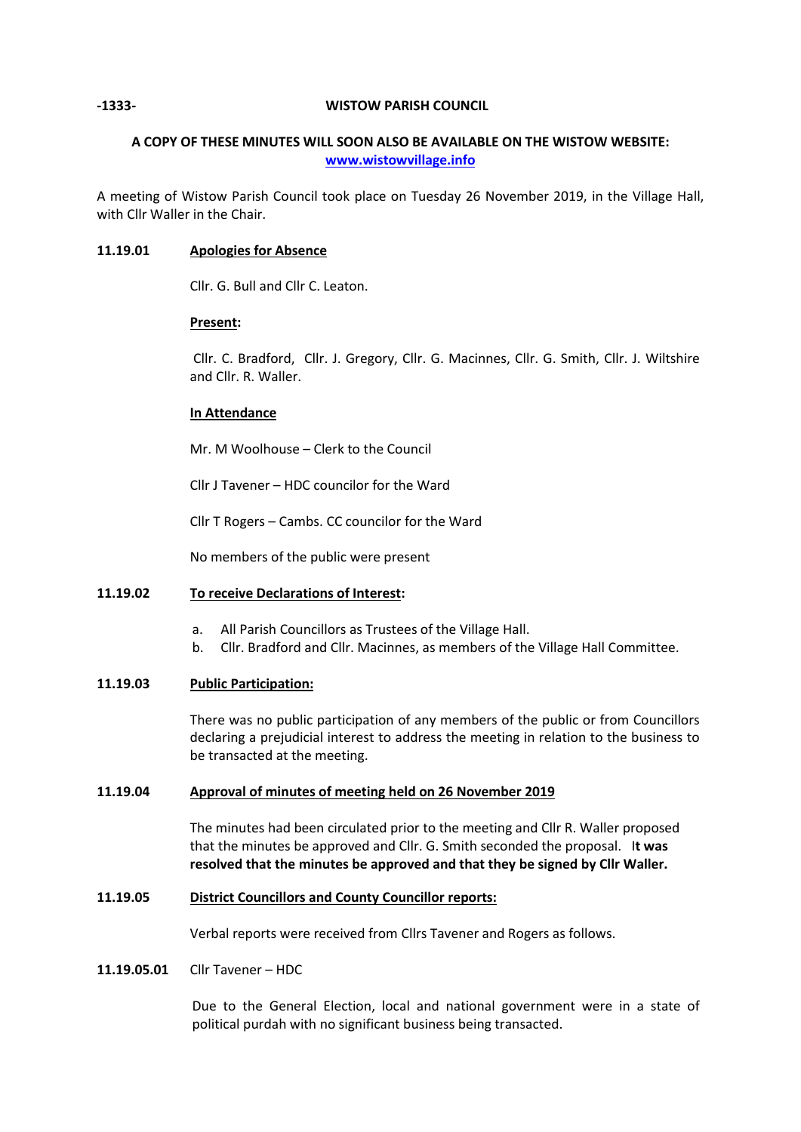## **-1333- WISTOW PARISH COUNCIL**

# **A COPY OF THESE MINUTES WILL SOON ALSO BE AVAILABLE ON THE WISTOW WEBSITE: [www.wistowvillage.info](http://www.wistowvillage.info/)**

A meeting of Wistow Parish Council took place on Tuesday 26 November 2019, in the Village Hall, with Cllr Waller in the Chair.

## **11.19.01 Apologies for Absence**

Cllr. G. Bull and Cllr C. Leaton.

## **Present:**

Cllr. C. Bradford, Cllr. J. Gregory, Cllr. G. Macinnes, Cllr. G. Smith, Cllr. J. Wiltshire and Cllr. R. Waller.

## **In Attendance**

Mr. M Woolhouse – Clerk to the Council

Cllr J Tavener – HDC councilor for the Ward

Cllr T Rogers – Cambs. CC councilor for the Ward

No members of the public were present

## **11.19.02 To receive Declarations of Interest:**

- a. All Parish Councillors as Trustees of the Village Hall.
- b. Cllr. Bradford and Cllr. Macinnes, as members of the Village Hall Committee.

## **11.19.03 Public Participation:**

There was no public participation of any members of the public or from Councillors declaring a prejudicial interest to address the meeting in relation to the business to be transacted at the meeting.

## **11.19.04 Approval of minutes of meeting held on 26 November 2019**

The minutes had been circulated prior to the meeting and Cllr R. Waller proposed that the minutes be approved and Cllr. G. Smith seconded the proposal. I**t was resolved that the minutes be approved and that they be signed by Cllr Waller.**

### **11.19.05 District Councillors and County Councillor reports:**

Verbal reports were received from Cllrs Tavener and Rogers as follows.

### **11.19.05.01** Cllr Tavener – HDC

Due to the General Election, local and national government were in a state of political purdah with no significant business being transacted.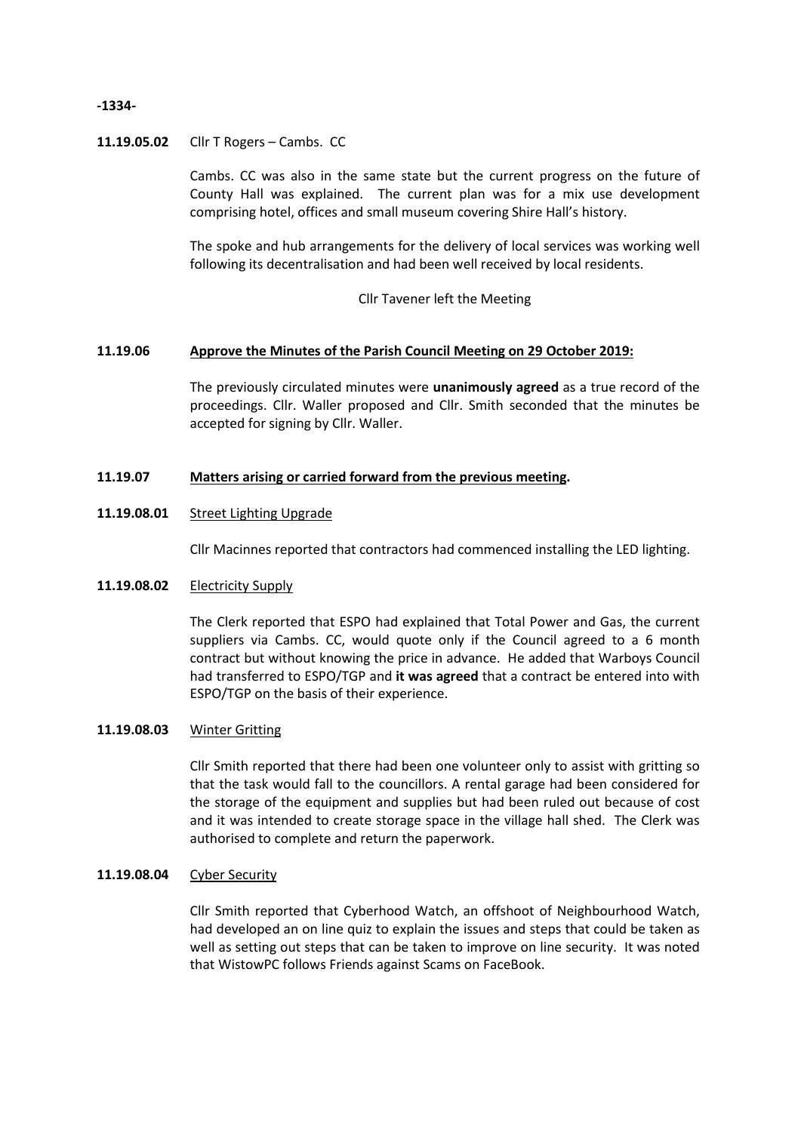## **-1334-**

## **11.19.05.02** Cllr T Rogers – Cambs. CC

Cambs. CC was also in the same state but the current progress on the future of County Hall was explained. The current plan was for a mix use development comprising hotel, offices and small museum covering Shire Hall's history.

The spoke and hub arrangements for the delivery of local services was working well following its decentralisation and had been well received by local residents.

Cllr Tavener left the Meeting

## **11.19.06 Approve the Minutes of the Parish Council Meeting on 29 October 2019:**

The previously circulated minutes were **unanimously agreed** as a true record of the proceedings. Cllr. Waller proposed and Cllr. Smith seconded that the minutes be accepted for signing by Cllr. Waller.

## **11.19.07 Matters arising or carried forward from the previous meeting.**

### **11.19.08.01** Street Lighting Upgrade

Cllr Macinnes reported that contractors had commenced installing the LED lighting.

### **11.19.08.02** Electricity Supply

The Clerk reported that ESPO had explained that Total Power and Gas, the current suppliers via Cambs. CC, would quote only if the Council agreed to a 6 month contract but without knowing the price in advance. He added that Warboys Council had transferred to ESPO/TGP and **it was agreed** that a contract be entered into with ESPO/TGP on the basis of their experience.

### **11.19.08.03** Winter Gritting

Cllr Smith reported that there had been one volunteer only to assist with gritting so that the task would fall to the councillors. A rental garage had been considered for the storage of the equipment and supplies but had been ruled out because of cost and it was intended to create storage space in the village hall shed. The Clerk was authorised to complete and return the paperwork.

### **11.19.08.04** Cyber Security

Cllr Smith reported that Cyberhood Watch, an offshoot of Neighbourhood Watch, had developed an on line quiz to explain the issues and steps that could be taken as well as setting out steps that can be taken to improve on line security. It was noted that WistowPC follows Friends against Scams on FaceBook.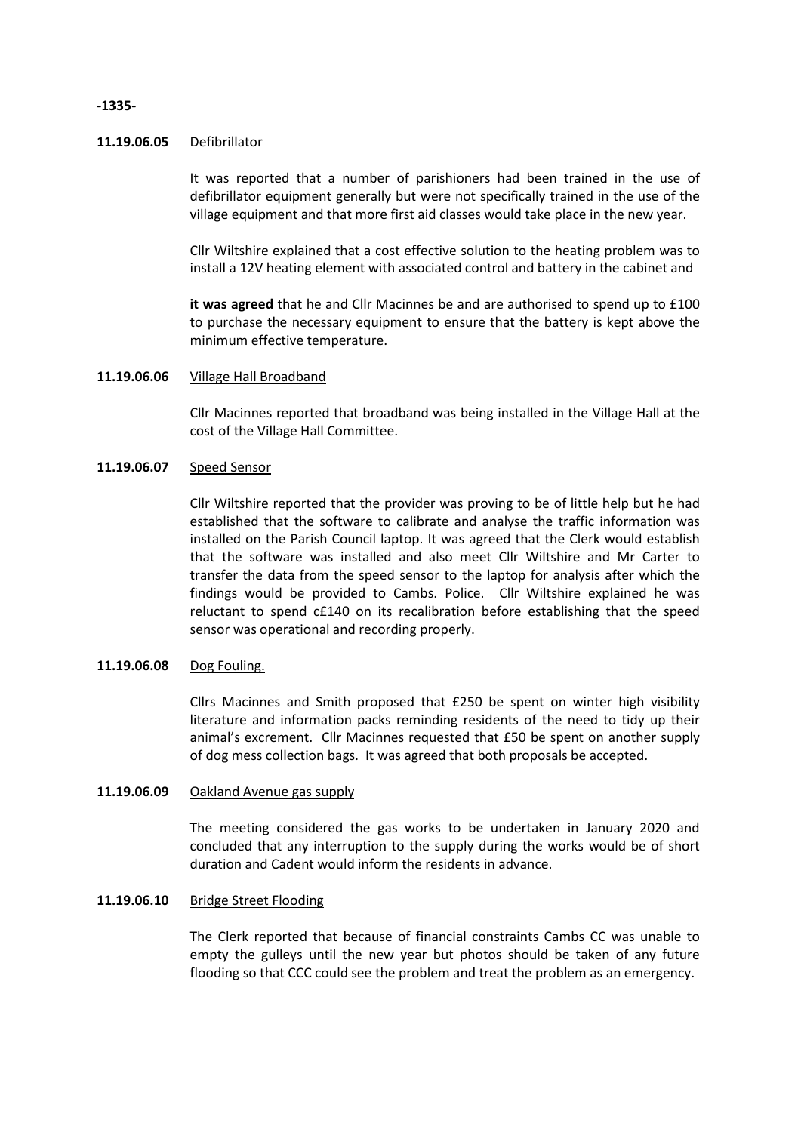### **11.19.06.05** Defibrillator

It was reported that a number of parishioners had been trained in the use of defibrillator equipment generally but were not specifically trained in the use of the village equipment and that more first aid classes would take place in the new year.

Cllr Wiltshire explained that a cost effective solution to the heating problem was to install a 12V heating element with associated control and battery in the cabinet and

**it was agreed** that he and Cllr Macinnes be and are authorised to spend up to £100 to purchase the necessary equipment to ensure that the battery is kept above the minimum effective temperature.

### **11.19.06.06** Village Hall Broadband

Cllr Macinnes reported that broadband was being installed in the Village Hall at the cost of the Village Hall Committee.

### **11.19.06.07** Speed Sensor

Cllr Wiltshire reported that the provider was proving to be of little help but he had established that the software to calibrate and analyse the traffic information was installed on the Parish Council laptop. It was agreed that the Clerk would establish that the software was installed and also meet Cllr Wiltshire and Mr Carter to transfer the data from the speed sensor to the laptop for analysis after which the findings would be provided to Cambs. Police. Cllr Wiltshire explained he was reluctant to spend c£140 on its recalibration before establishing that the speed sensor was operational and recording properly.

### **11.19.06.08** Dog Fouling.

Cllrs Macinnes and Smith proposed that £250 be spent on winter high visibility literature and information packs reminding residents of the need to tidy up their animal's excrement. Cllr Macinnes requested that £50 be spent on another supply of dog mess collection bags. It was agreed that both proposals be accepted.

#### **11.19.06.09** Oakland Avenue gas supply

The meeting considered the gas works to be undertaken in January 2020 and concluded that any interruption to the supply during the works would be of short duration and Cadent would inform the residents in advance.

### **11.19.06.10** Bridge Street Flooding

The Clerk reported that because of financial constraints Cambs CC was unable to empty the gulleys until the new year but photos should be taken of any future flooding so that CCC could see the problem and treat the problem as an emergency.

### **-1335-**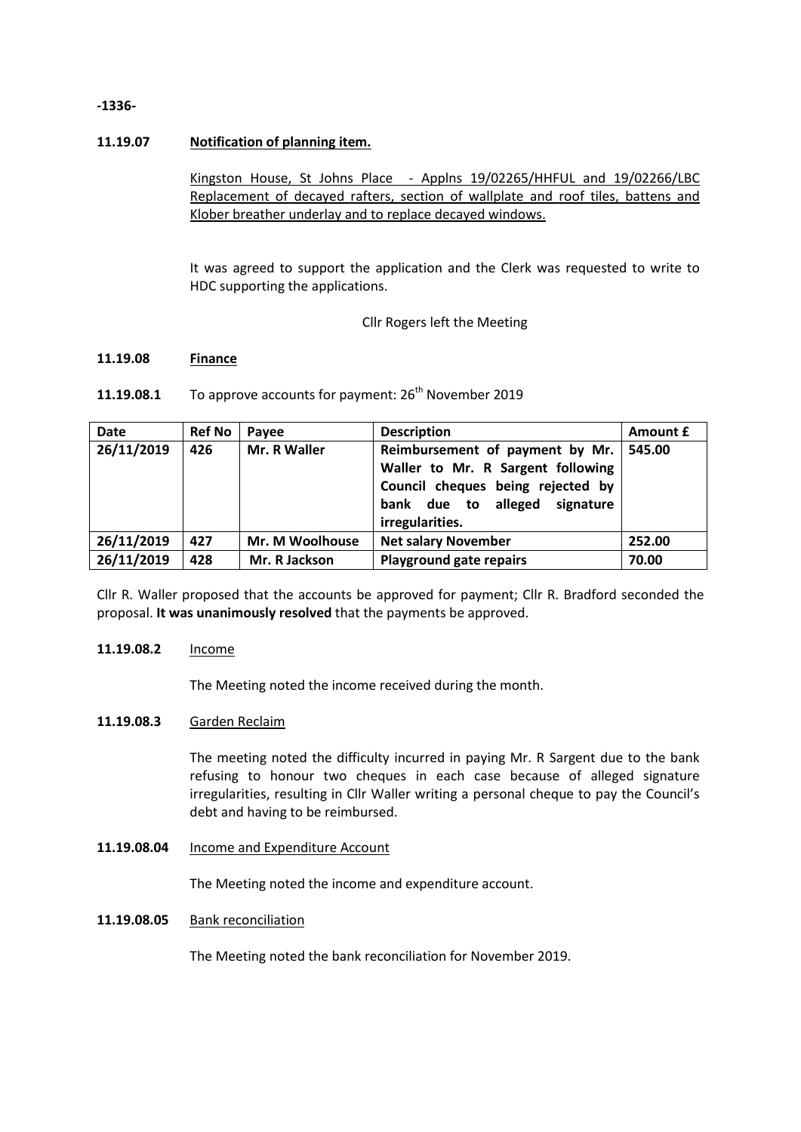## **-1336-**

## **11.19.07 Notification of planning item.**

Kingston House, St Johns Place - Applns 19/02265/HHFUL and 19/02266/LBC Replacement of decayed rafters, section of wallplate and roof tiles, battens and Klober breather underlay and to replace decayed windows.

It was agreed to support the application and the Clerk was requested to write to HDC supporting the applications.

Cllr Rogers left the Meeting

### **11.19.08 Finance**

### **11.19.08.1** To approve accounts for payment: 26<sup>th</sup> November 2019

| Date       | <b>Ref No</b> | Pavee           | <b>Description</b>                                                                                                                                            | Amount £ |
|------------|---------------|-----------------|---------------------------------------------------------------------------------------------------------------------------------------------------------------|----------|
| 26/11/2019 | 426           | Mr. R Waller    | Reimbursement of payment by Mr.<br>Waller to Mr. R Sargent following<br>Council cheques being rejected by<br>bank due to alleged signature<br>irregularities. | 545.00   |
| 26/11/2019 | 427           | Mr. M Woolhouse | <b>Net salary November</b>                                                                                                                                    | 252.00   |
| 26/11/2019 | 428           | Mr. R Jackson   | <b>Playground gate repairs</b>                                                                                                                                | 70.00    |

Cllr R. Waller proposed that the accounts be approved for payment; Cllr R. Bradford seconded the proposal. **It was unanimously resolved** that the payments be approved.

## **11.19.08.2** Income

The Meeting noted the income received during the month.

## **11.19.08.3** Garden Reclaim

The meeting noted the difficulty incurred in paying Mr. R Sargent due to the bank refusing to honour two cheques in each case because of alleged signature irregularities, resulting in Cllr Waller writing a personal cheque to pay the Council's debt and having to be reimbursed.

**11.19.08.04** Income and Expenditure Account

The Meeting noted the income and expenditure account.

## **11.19.08.05** Bank reconciliation

The Meeting noted the bank reconciliation for November 2019.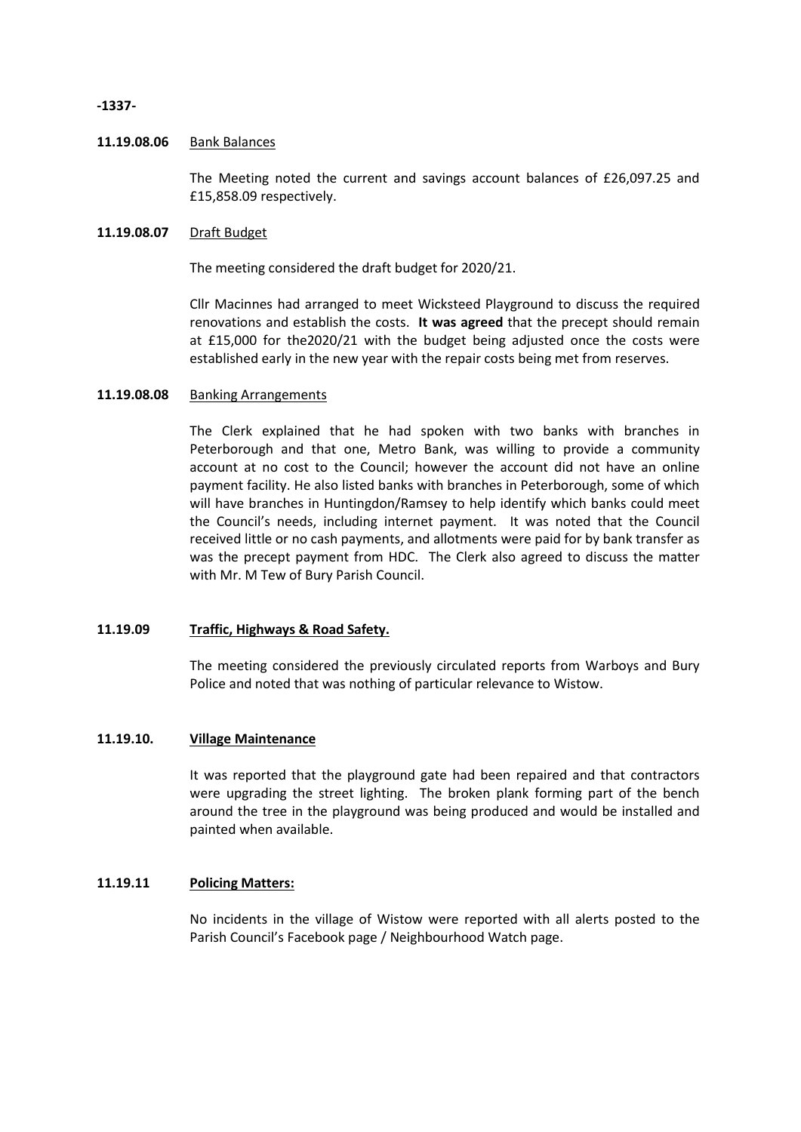**-1337-**

## **11.19.08.06** Bank Balances

The Meeting noted the current and savings account balances of £26,097.25 and £15,858.09 respectively.

## **11.19.08.07** Draft Budget

The meeting considered the draft budget for 2020/21.

Cllr Macinnes had arranged to meet Wicksteed Playground to discuss the required renovations and establish the costs. **It was agreed** that the precept should remain at £15,000 for the2020/21 with the budget being adjusted once the costs were established early in the new year with the repair costs being met from reserves.

## **11.19.08.08** Banking Arrangements

The Clerk explained that he had spoken with two banks with branches in Peterborough and that one, Metro Bank, was willing to provide a community account at no cost to the Council; however the account did not have an online payment facility. He also listed banks with branches in Peterborough, some of which will have branches in Huntingdon/Ramsey to help identify which banks could meet the Council's needs, including internet payment. It was noted that the Council received little or no cash payments, and allotments were paid for by bank transfer as was the precept payment from HDC. The Clerk also agreed to discuss the matter with Mr. M Tew of Bury Parish Council.

## **11.19.09 Traffic, Highways & Road Safety.**

The meeting considered the previously circulated reports from Warboys and Bury Police and noted that was nothing of particular relevance to Wistow.

## **11.19.10. Village Maintenance**

It was reported that the playground gate had been repaired and that contractors were upgrading the street lighting. The broken plank forming part of the bench around the tree in the playground was being produced and would be installed and painted when available.

## **11.19.11 Policing Matters:**

No incidents in the village of Wistow were reported with all alerts posted to the Parish Council's Facebook page / Neighbourhood Watch page.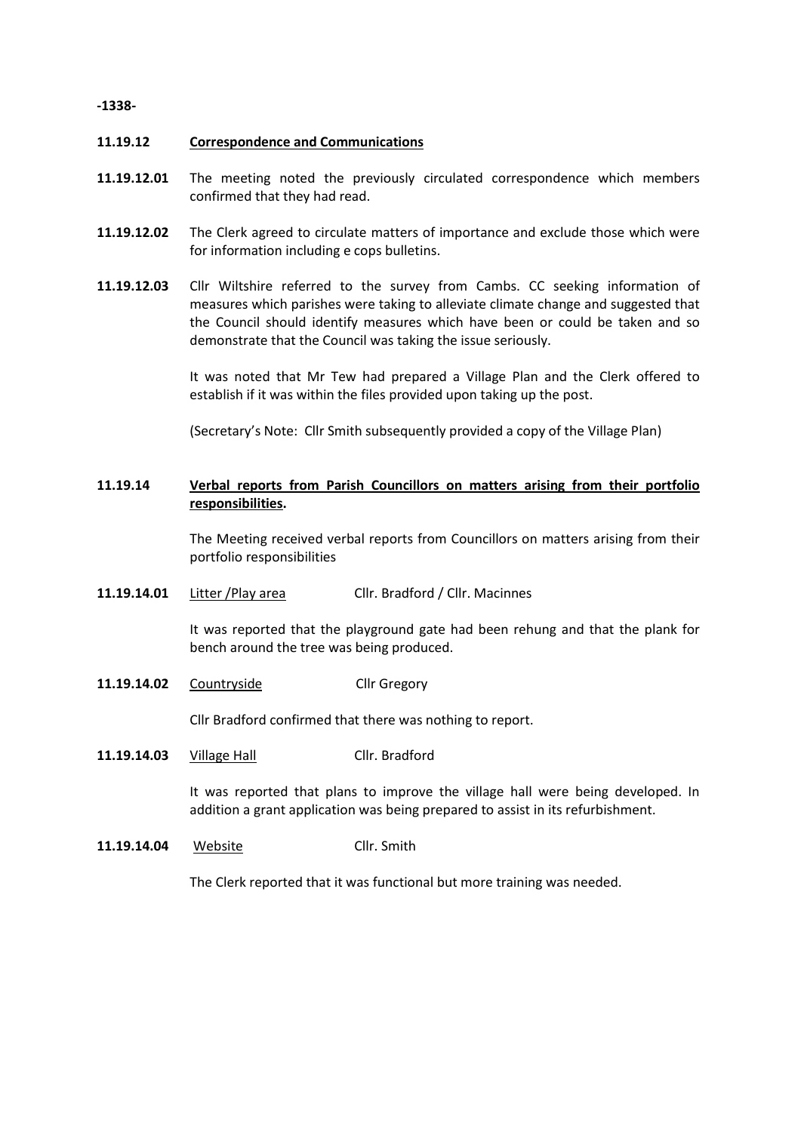## **-1338-**

## **11.19.12 Correspondence and Communications**

- **11.19.12.01** The meeting noted the previously circulated correspondence which members confirmed that they had read.
- **11.19.12.02** The Clerk agreed to circulate matters of importance and exclude those which were for information including e cops bulletins.
- **11.19.12.03** Cllr Wiltshire referred to the survey from Cambs. CC seeking information of measures which parishes were taking to alleviate climate change and suggested that the Council should identify measures which have been or could be taken and so demonstrate that the Council was taking the issue seriously.

It was noted that Mr Tew had prepared a Village Plan and the Clerk offered to establish if it was within the files provided upon taking up the post.

(Secretary's Note: Cllr Smith subsequently provided a copy of the Village Plan)

### **11.19.14 Verbal reports from Parish Councillors on matters arising from their portfolio responsibilities.**

The Meeting received verbal reports from Councillors on matters arising from their portfolio responsibilities

**11.19.14.01** Litter /Play area Cllr. Bradford / Cllr. Macinnes

> It was reported that the playground gate had been rehung and that the plank for bench around the tree was being produced.

**11.19.14.02** Countryside Cllr Gregory

Cllr Bradford confirmed that there was nothing to report.

**11.19.14.03** Village Hall Cllr. Bradford

> It was reported that plans to improve the village hall were being developed. In addition a grant application was being prepared to assist in its refurbishment.

**11.19.14.04** Website Cllr. Smith

The Clerk reported that it was functional but more training was needed.